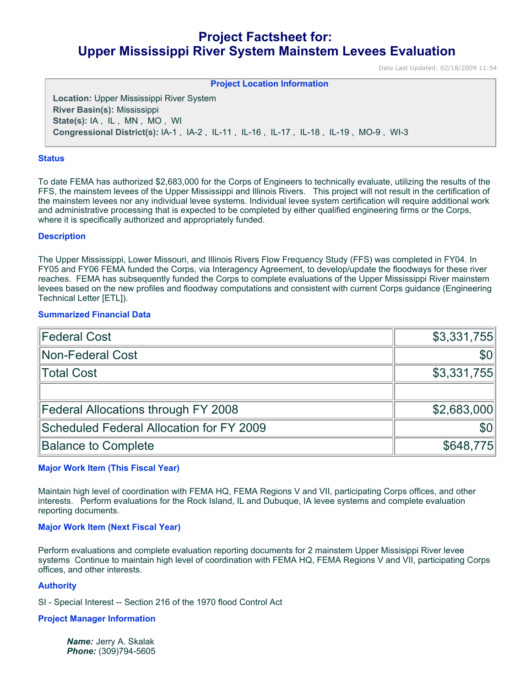# **Project Factsheet for: Upper Mississippi River System Mainstem Levees Evaluation**

Date Last Updated: 02/18/2009 11:54

**Project Location Information** 

**Location:** Upper Mississippi River System **River Basin(s):** Mississippi **State(s):** IA , IL , MN , MO , WI **Congressional District(s):** IA-1 , IA-2 , IL-11 , IL-16 , IL-17 , IL-18 , IL-19 , MO-9 , WI-3

## **Status**

To date FEMA has authorized \$2,683,000 for the Corps of Engineers to technically evaluate, utilizing the results of the FFS, the mainstem levees of the Upper Mississippi and Illinois Rivers. This project will not result in the certification of the mainstem levees nor any individual levee systems. Individual levee system certification will require additional work and administrative processing that is expected to be completed by either qualified engineering firms or the Corps, where it is specifically authorized and appropriately funded.

## **Description**

The Upper Mississippi, Lower Missouri, and Illinois Rivers Flow Frequency Study (FFS) was completed in FY04. In FY05 and FY06 FEMA funded the Corps, via Interagency Agreement, to develop/update the floodways for these river reaches. FEMA has subsequently funded the Corps to complete evaluations of the Upper Mississippi River mainstem levees based on the new profiles and floodway computations and consistent with current Corps guidance (Engineering Technical Letter [ETL]).

## **Summarized Financial Data**

| <b>Federal Cost</b>                      | \$3,331,755      |
|------------------------------------------|------------------|
| Non-Federal Cost                         | \$0 <sub>1</sub> |
| Total Cost                               | \$3,331,755      |
|                                          |                  |
| Federal Allocations through FY 2008      | \$2,683,000      |
| Scheduled Federal Allocation for FY 2009 | \$0              |
| <b>Balance to Complete</b>               | \$648,775        |

# **Major Work Item (This Fiscal Year)**

Maintain high level of coordination with FEMA HQ, FEMA Regions V and VII, participating Corps offices, and other interests. Perform evaluations for the Rock Island, IL and Dubuque, IA levee systems and complete evaluation reporting documents.

## **Major Work Item (Next Fiscal Year)**

Perform evaluations and complete evaluation reporting documents for 2 mainstem Upper Missisippi River levee systems Continue to maintain high level of coordination with FEMA HQ, FEMA Regions V and VII, participating Corps offices, and other interests.

#### **Authority**

SI - Special Interest -- Section 216 of the 1970 flood Control Act

#### **Project Manager Information**

*Name:* Jerry A. Skalak *Phone:* (309)794-5605